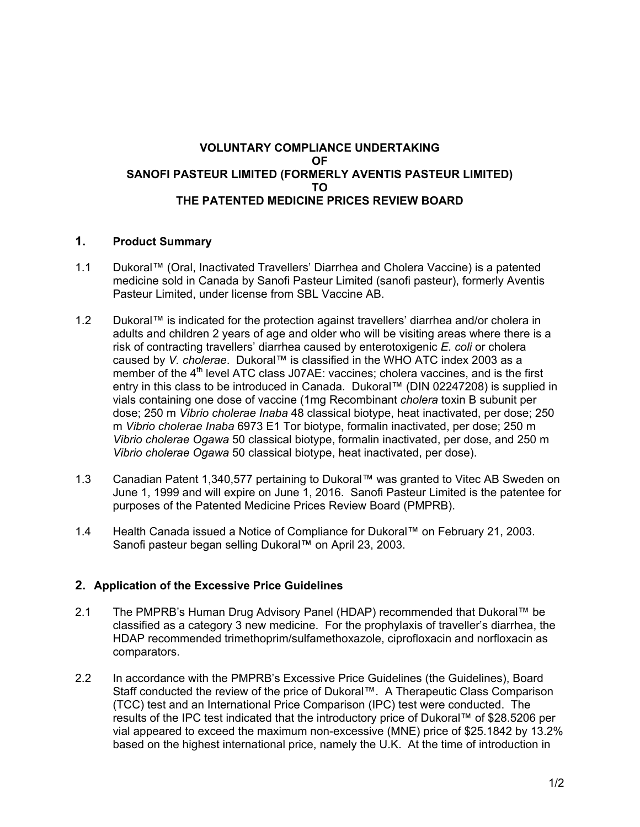# **VOLUNTARY COMPLIANCE UNDERTAKING OF SANOFI PASTEUR LIMITED (FORMERLY AVENTIS PASTEUR LIMITED) TO THE PATENTED MEDICINE PRICES REVIEW BOARD**

# **1. Product Summary**

- 1.1 Dukoral™ (Oral, Inactivated Travellers' Diarrhea and Cholera Vaccine) is a patented medicine sold in Canada by Sanofi Pasteur Limited (sanofi pasteur), formerly Aventis Pasteur Limited, under license from SBL Vaccine AB.
- 1.2 Dukoral™ is indicated for the protection against travellers' diarrhea and/or cholera in adults and children 2 years of age and older who will be visiting areas where there is a risk of contracting travellers' diarrhea caused by enterotoxigenic *E. coli* or cholera caused by *V. cholerae*. Dukoral™ is classified in the WHO ATC index 2003 as a member of the  $4<sup>th</sup>$  level ATC class J07AE: vaccines; cholera vaccines, and is the first entry in this class to be introduced in Canada. Dukoral™ (DIN 02247208) is supplied in vials containing one dose of vaccine (1mg Recombinant *cholera* toxin B subunit per dose; 250 m *Vibrio cholerae Inaba* 48 classical biotype, heat inactivated, per dose; 250 m *Vibrio cholerae Inaba* 6973 E1 Tor biotype, formalin inactivated, per dose; 250 m *Vibrio cholerae Ogawa* 50 classical biotype, formalin inactivated, per dose, and 250 m *Vibrio cholerae Ogawa* 50 classical biotype, heat inactivated, per dose).
- 1.3 Canadian Patent 1,340,577 pertaining to Dukoral™ was granted to Vitec AB Sweden on June 1, 1999 and will expire on June 1, 2016. Sanofi Pasteur Limited is the patentee for purposes of the Patented Medicine Prices Review Board (PMPRB).
- 1.4 Health Canada issued a Notice of Compliance for Dukoral™ on February 21, 2003. Sanofi pasteur began selling Dukoral™ on April 23, 2003.

# **2. Application of the Excessive Price Guidelines**

- 2.1 The PMPRB's Human Drug Advisory Panel (HDAP) recommended that Dukoral™ be classified as a category 3 new medicine. For the prophylaxis of traveller's diarrhea, the HDAP recommended trimethoprim/sulfamethoxazole, ciprofloxacin and norfloxacin as comparators.
- 2.2 In accordance with the PMPRB's Excessive Price Guidelines (the Guidelines), Board Staff conducted the review of the price of Dukoral™. A Therapeutic Class Comparison (TCC) test and an International Price Comparison (IPC) test were conducted. The results of the IPC test indicated that the introductory price of Dukoral™ of \$28.5206 per vial appeared to exceed the maximum non-excessive (MNE) price of \$25.1842 by 13.2% based on the highest international price, namely the U.K. At the time of introduction in